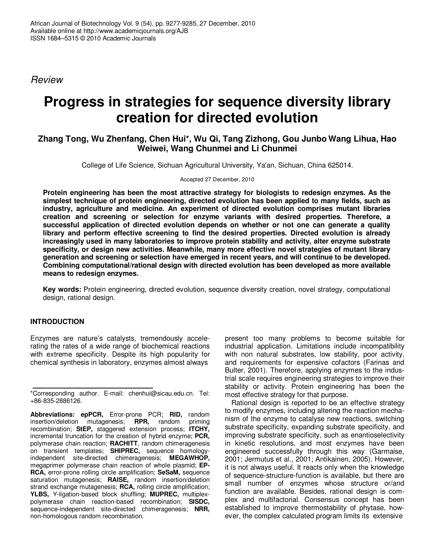*Review*

# **Progress in strategies for sequence diversity library creation for directed evolution**

## **Zhang Tong, Wu Zhenfang, Chen Hui\*, Wu Qi, Tang Zizhong, Gou Junbo Wang Lihua, Hao Weiwei, Wang Chunmei and Li Chunmei**

College of Life Science, Sichuan Agricultural University, Ya'an, Sichuan, China 625014.

Accepted 27 December, 2010

**Protein engineering has been the most attractive strategy for biologists to redesign enzymes. As the simplest technique of protein engineering, directed evolution has been applied to many fields, such as industry, agriculture and medicine. An experiment of directed evolution comprises mutant libraries creation and screening or selection for enzyme variants with desired properties. Therefore, a successful application of directed evolution depends on whether or not one can generate a quality library and perform effective screening to find the desired properties. Directed evolution is already increasingly used in many laboratories to improve protein stability and activity, alter enzyme substrate specificity, or design new activities. Meanwhile, many more effective novel strategies of mutant library generation and screening or selection have emerged in recent years, and will continue to be developed. Combining computational/rational design with directed evolution has been developed as more available means to redesign enzymes.**

**Key words:** Protein engineering, directed evolution, sequence diversity creation, novel strategy, computational design, rational design.

## **INTRODUCTION**

Enzymes are nature's catalysts, tremendously accelerating the rates of a wide range of biochemical reactions with extreme specificity. Despite its high popularity for chemical synthesis in laboratory, enzymes almost always

present too many problems to become suitable for industrial application. Limitations include incompatibility with non natural substrates, low stability, poor activity, and requirements for expensive cofactors (Farinas and Bulter, 2001). Therefore, applying enzymes to the industrial scale requires engineering strategies to improve their stability or activity. Protein engineering has been the most effective strategy for that purpose.

Rational design is reported to be an effective strategy to modify enzymes, including altering the reaction mechanism of the enzyme to catalyse new reactions, switching substrate specificity, expanding substrate specificity, and improving substrate specificity, such as enantioselectivity in kinetic resolutions, and most enzymes have been engineered successfully through this way (Garmaise, 2001; Jermutus et al., 2001; Antikainen, 2005). However, it is not always useful. It reacts only when the knowledge of sequence-structure-function is available, but there are small number of enzymes whose structure or/and function are available. Besides, rational design is complex and multifactorial. Consensus concept has been established to improve thermostability of phytase, however, the complex calculated program limits its extensive

<sup>\*</sup>Corresponding author. E-mail: chenhui@sicau.edu.cn. Tel: +86-835-2886126.

**Abbreviations: epPCR,** Error-prone PCR; **RID,** random insertion/deletion mutagenesis; **RPR**, random recombination; **StEP,** staggered extension process; **ITCHY,** incremental truncation for the creation of hybrid enzyme; **PCR,** polymerase chain reaction; **RACHITT**, random chimeragenesis on transient templates; **SHIPREC,** sequence homologyindependent site-directed chimeragenesis; **MEGAWHOP,** megaprimer polymerase chain reaction of whole plasmid; **EP-RCA,** error-prone rolling circle amplification; **SeSaM,** sequence saturation mutagenesis; **RAISE,** random insertion/deletion strand exchange mutagenesis; **RCA,** rolling circle amplification; **YLBS,** Y-ligation-based block shuffling; **MUPREC,** multiplexpolymerase chain reaction-based recombination; **SISDC,** sequence-independent site-directed chimeragenesis; **NRR,** non-homologous random recombination.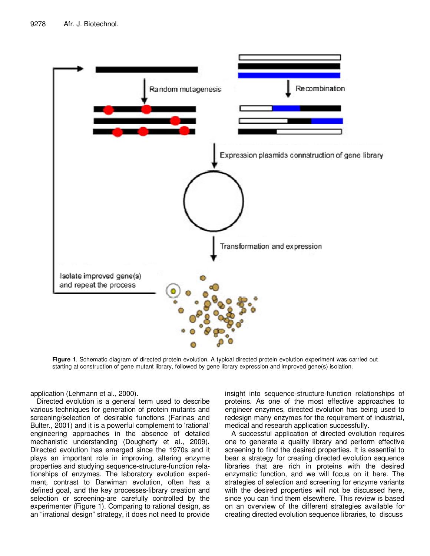

**Figure 1**. Schematic diagram of directed protein evolution. A typical directed protein evolution experiment was carried out starting at construction of gene mutant library, followed by gene library expression and improved gene(s) isolation.

application (Lehmann et al., 2000).

Directed evolution is a general term used to describe various techniques for generation of protein mutants and screening/selection of desirable functions (Farinas and Bulter., 2001) and it is a powerful complement to 'rational' engineering approaches in the absence of detailed mechanistic understanding (Dougherty et al., 2009). Directed evolution has emerged since the 1970s and it plays an important role in improving, altering enzyme properties and studying sequence-structure-function relationships of enzymes. The laboratory evolution experiment, contrast to Darwiman evolution, often has a defined goal, and the key processes-library creation and selection or screening-are carefully controlled by the experimenter (Figure 1). Comparing to rational design, as an "irrational design" strategy, it does not need to provide insight into sequence-structure-function relationships of proteins. As one of the most effective approaches to engineer enzymes, directed evolution has being used to redesign many enzymes for the requirement of industrial, medical and research application successfully.

A successful application of directed evolution requires one to generate a quality library and perform effective screening to find the desired properties. It is essential to bear a strategy for creating directed evolution sequence libraries that are rich in proteins with the desired enzymatic function, and we will focus on it here. The strategies of selection and screening for enzyme variants with the desired properties will not be discussed here, since you can find them elsewhere. This review is based on an overview of the different strategies available for creating directed evolution sequence libraries, to discuss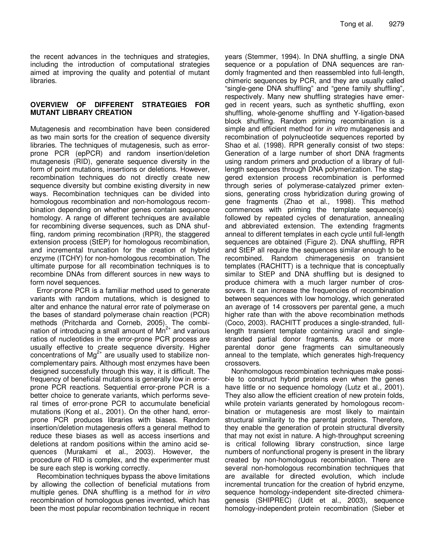the recent advances in the techniques and strategies, including the introduction of computational strategies aimed at improving the quality and potential of mutant libraries.

## **OVERVIEW OF DIFFERENT STRATEGIES FOR MUTANT LIBRARY CREATION**

Mutagenesis and recombination have been considered as two main sorts for the creation of sequence diversity libraries. The techniques of mutagenesis, such as errorprone PCR (epPCR) and random insertion/deletion mutagenesis (RID), generate sequence diversity in the form of point mutations, insertions or deletions. However, recombination techniques do not directly create new sequence diversity but combine existing diversity in new ways. Recombination techniques can be divided into homologous recombination and non-homologous recombination depending on whether genes contain sequence homology. A range of different techniques are available for recombining diverse sequences, such as DNA shuffling, random priming recombination (RPR), the staggered extension process (StEP) for homologous recombination, and incremental truncation for the creation of hybrid enzyme (ITCHY) for non-homologous recombination. The ultimate purpose for all recombination techniques is to recombine DNAs from different sources in new ways to form novel sequences.

Error-prone PCR is a familiar method used to generate variants with random mutations, which is designed to alter and enhance the natural error rate of polymerase on the bases of standard polymerase chain reaction (PCR) methods (Pritcharda and Corneb, 2005). The combination of introducing a small amount of Mn<sup>2+</sup> and various ratios of nucleotides in the error-prone PCR process are usually effective to create sequence diversity. Higher concentrations of  $Mg^{2+}$  are usually used to stabilize noncomplementary pairs. Although most enzymes have been designed successfully through this way, it is difficult. The frequency of beneficial mutations is generally low in errorprone PCR reactions. Sequential error-prone PCR is a better choice to generate variants, which performs several times of error-prone PCR to accumulate beneficial mutations (Kong et al., 2001). On the other hand, errorprone PCR produces libraries with biases. Random insertion/deletion mutagenesis offers a general method to reduce these biases as well as access insertions and deletions at random positions within the amino acid sequences (Murakami et al., 2003). However, the procedure of RID is complex, and the experimenter must be sure each step is working correctly.

Recombination techniques bypass the above limitations by allowing the collection of beneficial mutations from multiple genes. DNA shuffling is a method for *in vitro* recombination of homologous genes invented, which has been the most popular recombination technique in recent years (Stemmer, 1994). In DNA shuffling, a single DNA sequence or a population of DNA sequences are randomly fragmented and then reassembled into full-length, chimeric sequences by PCR, and they are usually called "single-gene DNA shuffling" and "gene family shuffling", respectively. Many new shuffling strategies have emerged in recent years, such as synthetic shuffling, exon shuffling, whole-genome shuffling and Y-ligation-based block shuffling. Random priming recombination is a simple and efficient method for *in vitro* mutagenesis and recombination of polynucleotide sequences reported by Shao et al. (1998). RPR generally consist of two steps: Generation of a large number of short DNA fragments using random primers and production of a library of fulllength sequences through DNA polymerization. The staggered extension process recombination is performed through series of polymerase-catalyzed primer extensions, generating cross hybridization during growing of gene fragments (Zhao et al., 1998). This method commences with priming the template sequence(s) followed by repeated cycles of denaturation, annealing and abbreviated extension. The extending fragments anneal to different templates in each cycle until full-length sequences are obtained (Figure 2). DNA shuffling, RPR and StEP all require the sequences similar enough to be recombined. Random chimeragenesis on transient templates (RACHITT) is a technique that is conceptually similar to StEP and DNA shuffling but is designed to produce chimera with a much larger number of crossovers. It can increase the frequencies of recombination between sequences with low homology, which generated an average of 14 crossovers per parental gene, a much higher rate than with the above recombination methods (Coco, 2003). RACHITT produces a single-stranded, fulllength transient template containing uracil and singlestranded partial donor fragments. As one or more parental donor gene fragments can simultaneously anneal to the template, which generates high-frequency crossovers.

Nonhomologous recombination techniques make possible to construct hybrid proteins even when the genes have little or no sequence homology (Lutz et al., 2001). They also allow the efficient creation of new protein folds, while protein variants generated by homologous recombination or mutagenesis are most likely to maintain structural similarity to the parental proteins. Therefore, they enable the generation of protein structural diversity that may not exist in nature. A high-throughput screening is critical following library construction, since large numbers of nonfunctional progeny is present in the library created by non-homologous recombination. There are several non-homologous recombination techniques that are available for directed evolution, which include incremental truncation for the creation of hybrid enzyme, sequence homology-independent site-directed chimeragenesis (SHIPREC) (Udit et al., 2003), sequence homology-independent protein recombination (Sieber et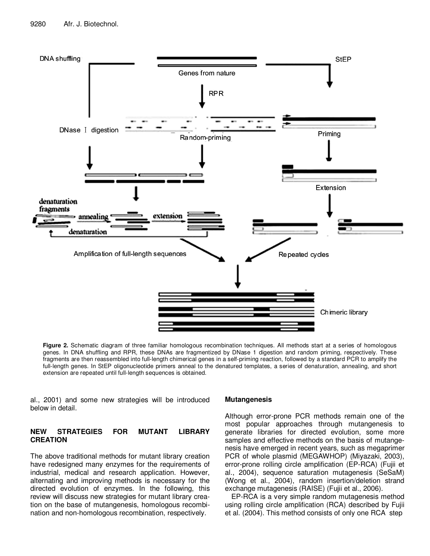

**Figure 2.** Schematic diagram of three familiar homologous recombination techniques. All methods start at a series of homologous genes. In DNA shuffling and RPR, these DNAs are fragmentized by DNase 1 digestion and random priming, respectively. These fragments are then reassembled into full-length chimerical genes in a self-priming reaction, followed by a standard PCR to amplify the full-length genes. In StEP oligonucleotide primers anneal to the denatured templates, a series of denaturation, annealing, and short extension are repeated until full-length sequences is obtained.

al., 2001) and some new strategies will be introduced below in detail.

## **NEW STRATEGIES FOR MUTANT LIBRARY CREATION**

The above traditional methods for mutant library creation have redesigned many enzymes for the requirements of industrial, medical and research application. However, alternating and improving methods is necessary for the directed evolution of enzymes. In the following, this review will discuss new strategies for mutant library creation on the base of mutangenesis, homologous recombination and non-homologous recombination, respectively.

#### **Mutangenesis**

Although error-prone PCR methods remain one of the most popular approaches through mutangenesis to generate libraries for directed evolution, some more samples and effective methods on the basis of mutangenesis have emerged in recent years, such as megaprimer PCR of whole plasmid (MEGAWHOP) (Miyazaki, 2003), error-prone rolling circle amplification (EP-RCA) (Fujii et al., 2004), sequence saturation mutagenesis (SeSaM) (Wong et al., 2004), random insertion/deletion strand exchange mutagenesis (RAISE) (Fujii et al., 2006).

EP-RCA is a very simple random mutagenesis method using rolling circle amplification (RCA) described by Fujii et al. (2004). This method consists of only one RCA step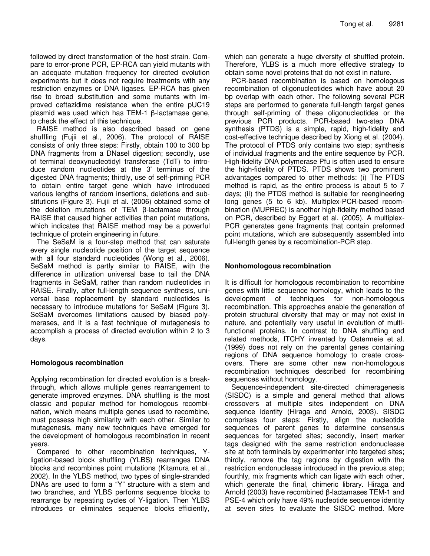followed by direct transformation of the host strain. Compare to error-prone PCR, EP-RCA can yield mutants with an adequate mutation frequency for directed evolution experiments but it does not require treatments with any restriction enzymes or DNA ligases. EP-RCA has given rise to broad substitution and some mutants with improved ceftazidime resistance when the entire pUC19 plasmid was used which has  $TEM-1$   $\beta$ -lactamase gene, to check the effect of this technique.

RAISE method is also described based on gene shuffling (Fujii et al., 2006). The protocol of RAISE consists of only three steps: Firstly, obtain 100 to 300 bp DNA fragments from a DNaseI digestion; secondly, use of terminal deoxynucleotidyl transferase (TdT) to introduce random nucleotides at the 3' terminus of the digested DNA fragments; thirdly, use of self-priming PCR to obtain entire target gene which have introduced various lengths of random insertions, deletions and substitutions (Figure 3). Fujii et al. (2006) obtained some of the deletion mutations of TEM  $\beta$ -lactamase through RAISE that caused higher activities than point mutations, which indicates that RAISE method may be a powerful technique of protein engineering in future.

The SeSaM is a four-step method that can saturate every single nucleotide position of the target sequence with all four standard nucleotides (Wong et al., 2006). SeSaM method is partly similar to RAISE, with the difference in utilization universal base to tail the DNA fragments in SeSaM, rather than random nucleotides in RAISE. Finally, after full-length sequence synthesis, universal base replacement by standard nucleotides is necessary to introduce mutations for SeSaM (Figure 3). SeSaM overcomes limitations caused by biased polymerases, and it is a fast technique of mutagenesis to accomplish a process of directed evolution within 2 to 3 days.

## **Homologous recombination**

Applying recombination for directed evolution is a breakthrough, which allows multiple genes rearrangement to generate improved enzymes. DNA shuffling is the most classic and popular method for homologous recombination, which means multiple genes used to recombine, must possess high similarity with each other. Similar to mutagenesis, many new techniques have emerged for the development of homologous recombination in recent years.

Compared to other recombination techniques, Yligation-based block shuffling (YLBS) rearranges DNA blocks and recombines point mutations (Kitamura et al., 2002). In the YLBS method, two types of single-stranded DNAs are used to form a "Y" structure with a stem and two branches, and YLBS performs sequence blocks to rearrange by repeating cycles of Y-ligation. Then YLBS introduces or eliminates sequence blocks efficiently,

which can generate a huge diversity of shuffled protein. Therefore, YLBS is a much more effective strategy to obtain some novel proteins that do not exist in nature.

PCR-based recombination is based on homologous recombination of oligonucleotides which have about 20 bp overlap with each other. The following several PCR steps are performed to generate full-length target genes through self-priming of these oligonucleotides or the previous PCR products. PCR-based two-step DNA synthesis (PTDS) is a simple, rapid, high-fidelity and cost-effective technique described by Xiong et al. (2004). The protocol of PTDS only contains two step; synthesis of individual fragments and the entire sequence by PCR. High-fidelity DNA polymerase Pfu is often used to ensure the high-fidelity of PTDS. PTDS shows two prominent advantages compared to other methods: (i) The PTDS method is rapid, as the entire process is about 5 to 7 days; (ii) the PTDS method is suitable for reengineering long genes (5 to 6 kb). Multiplex-PCR-based recombination (MUPREC) is another high-fidelity method based on PCR, described by Eggert et al. (2005). A multiplex-PCR generates gene fragments that contain preformed point mutations, which are subsequently assembled into full-length genes by a recombination-PCR step.

## **Nonhomologous recombination**

It is difficult for homologous recombination to recombine genes with little sequence homology, which leads to the development of techniques for non-homologous recombination. This approaches enable the generation of protein structural diversity that may or may not exist in nature, and potentially very useful in evolution of multifunctional proteins. In contrast to DNA shuffling and related methods, ITCHY invented by Ostermeie et al. (1999) does not rely on the parental genes containing regions of DNA sequence homology to create crossovers. There are some other new non-homologous recombination techniques described for recombining sequences without homology.

Sequence-independent site-directed chimeragenesis (SISDC) is a simple and general method that allows crossovers at multiple sites independent on DNA sequence identity (Hiraga and Arnold, 2003). SISDC comprises four steps: Firstly, align the nucleotide sequences of parent genes to determine consensus sequences for targeted sites; secondly, insert marker tags designed with the same restriction endonuclease site at both terminals by experimenter into targeted sites; thirdly, remove the tag regions by digestion with the restriction endonuclease introduced in the previous step; fourthly, mix fragments which can ligate with each other, which generate the final, chimeric library. Hiraga and Arnold (2003) have recombined  $\beta$ -lactamases TEM-1 and PSE-4 which only have 49% nucleotide sequence identity at seven sites to evaluate the SISDC method. More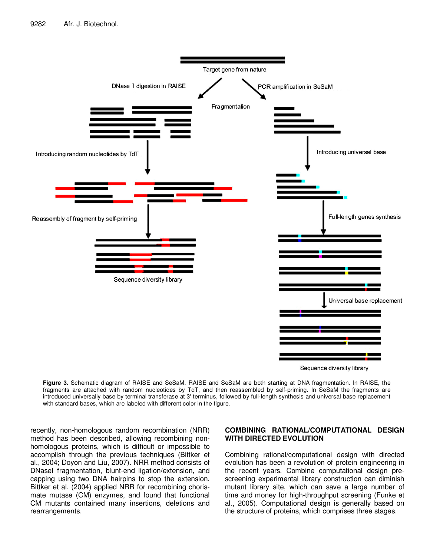

**Figure 3.** Schematic diagram of RAISE and SeSaM. RAISE and SeSaM are both starting at DNA fragmentation. In RAISE, the fragments are attached with random nucleotides by TdT, and then reassembled by self-priming. In SeSaM the fragments are introduced universally base by terminal transferase at 3' terminus, followed by full-length synthesis and universal base replacement with standard bases, which are labeled with different color in the figure.

recently, non-homologous random recombination (NRR) method has been described, allowing recombining nonhomologous proteins, which is difficult or impossible to accomplish through the previous techniques (Bittker et al., 2004; Doyon and Liu, 2007). NRR method consists of DNaseI fragmentation, blunt-end ligation/extension, and capping using two DNA hairpins to stop the extension. Bittker et al. (2004) applied NRR for recombining chorismate mutase (CM) enzymes, and found that functional CM mutants contained many insertions, deletions and rearrangements.

## **COMBINING RATIONAL/COMPUTATIONAL DESIGN WITH DIRECTED EVOLUTION**

Combining rational/computational design with directed evolution has been a revolution of protein engineering in the recent years. Combine computational design prescreening experimental library construction can diminish mutant library site, which can save a large number of time and money for high-throughput screening (Funke et al., 2005). Computational design is generally based on the structure of proteins, which comprises three stages.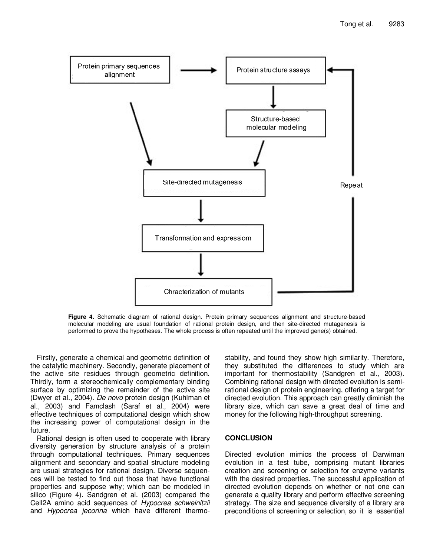

**Figure 4.** Schematic diagram of rational design. Protein primary sequences alignment and structure-based molecular modeling are usual foundation of rational protein design, and then site-directed mutagenesis is performed to prove the hypotheses. The whole process is often repeated until the improved gene(s) obtained.

Firstly, generate a chemical and geometric definition of the catalytic machinery. Secondly, generate placement of the active site residues through geometric definition. Thirdly, form a stereochemically complementary binding surface by optimizing the remainder of the active site (Dwyer et al., 2004). *De novo* protein design (Kuhlman et al., 2003) and Famclash (Saraf et al., 2004) were effective techniques of computational design which show the increasing power of computational design in the future.

Rational design is often used to cooperate with library diversity generation by structure analysis of a protein through computational techniques. Primary sequences alignment and secondary and spatial structure modeling are usual strategies for rational design. Diverse sequences will be tested to find out those that have functional properties and suppose why; which can be modeled in silico (Figure 4). Sandgren et al. (2003) compared the Cell2A amino acid sequences of *Hypocrea schweinitzii* and *Hypocrea jecorina* which have different thermo-

stability, and found they show high similarity. Therefore, they substituted the differences to study which are important for thermostability (Sandgren et al., 2003). Combining rational design with directed evolution is semirational design of protein engineering, offering a target for directed evolution. This approach can greatly diminish the library size, which can save a great deal of time and money for the following high-throughput screening.

## **CONCLUSION**

Directed evolution mimics the process of Darwiman evolution in a test tube, comprising mutant libraries creation and screening or selection for enzyme variants with the desired properties. The successful application of directed evolution depends on whether or not one can generate a quality library and perform effective screening strategy. The size and sequence diversity of a library are preconditions of screening or selection, so it is essential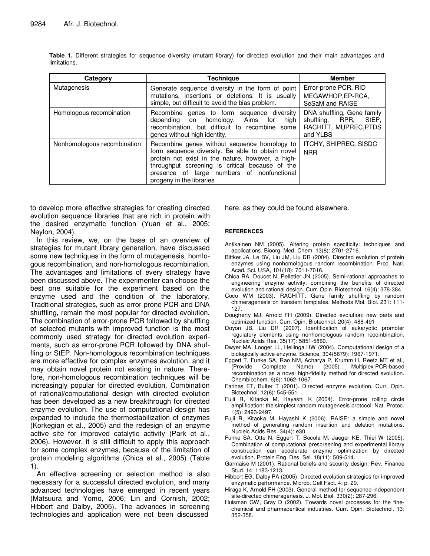| Category                    | Technique                                                                                                                                                                                                                                                                          | <b>Member</b>                                                                                  |
|-----------------------------|------------------------------------------------------------------------------------------------------------------------------------------------------------------------------------------------------------------------------------------------------------------------------------|------------------------------------------------------------------------------------------------|
| Mutagenesis                 | Generate sequence diversity in the form of point<br>mutations, insertions or deletions. It is usually<br>simple, but difficult to avoid the bias problem.                                                                                                                          | Error-prone PCR, RID<br>MEGAWHOP.EP-RCA.<br>SeSaM and RAISE                                    |
| Homologous recombination    | Recombine genes to form sequence diversity<br>homology. Aims<br>for<br>depending on<br>high<br>recombination, but difficult to recombine some<br>genes without high identity.                                                                                                      | DNA shuffling, Gene family<br>RPR.<br>shufflina.<br>StEP.<br>RACHITT, MUPREC, PTDS<br>and YLBS |
| Nonhomologous recombination | Recombine genes without sequence homology to<br>form sequence diversity. Be able to obtain novel<br>protein not exist in the nature, however, a high-<br>throughput screening is critical because of the<br>presence of large numbers of nonfunctional<br>progeny in the libraries | ITCHY, SHIPREC, SISDC<br><b>NRR</b>                                                            |

**Table 1.** Different strategies for sequence diversity (mutant library) for directed evolution and their main advantages and limitations.

to develop more effective strategies for creating directed evolution sequence libraries that are rich in protein with the desired enzymatic function (Yuan et al., 2005; Neylon, 2004).

In this review, we, on the base of an overview of strategies for mutant library generation, have discussed some new techniques in the form of mutagenesis, homlogous recombination, and non-homologous recombination. The advantages and limitations of every strategy have been discussed above. The experimenter can choose the best one suitable for the experiment based on the enzyme used and the condition of the laboratory. Traditional strategies, such as error-prone PCR and DNA shuffling, remain the most popular for directed evolution. The combination of error-prone PCR followed by shuffling of selected mutants with improved function is the most commonly used strategy for directed evolution experiments, such as error-prone PCR followed by DNA shuffling or StEP. Non-homologous recombination techniques are more effective for complex enzymes evolution, and it may obtain novel protein not existing in nature. Therefore, non-homologous recombination techniques will be increasingly popular for directed evolution. Combination of rational/computational design with directed evolution has been developed as a new breakthrough for directed enzyme evolution. The use of computational design has expanded to include the thermostabilization of enzymes (Korkegian et al., 2005) and the redesign of an enzyme active site for improved catalytic activity (Park et al., 2006). However, it is still difficult to apply this approach for some complex enzymes, because of the limitation of protein modeling algorithms (Chica et al., 2005) (Table 1).

An effective screening or selection method is also necessary for a successful directed evolution, and many advanced technologies have emerged in recent years (Matsuura and Yomo, 2006; Lin and Cornish, 2002; Hibbert and Dalby, 2005). The advances in screening technologies and application were not been discussed

here, as they could be found elsewhere.

#### **REFERENCES**

Antikainen NM (2005). Altering protein specificity: techniques and applications. Bioorg. Med. Chem. 13(8): 2701-2716.

- Bittker JA, Le BV, Liu JM, Liu DR (2004). Directed evolution of protein enzymes using nonhomologous random recombination. Proc. Natl. Acad. Sci. USA, 101(18): 7011-7016.
- Chica RA, Doucet N, Pelletier JN (2005). Semi-rational approaches to engineering enzyme activity: combining the benefits of directed evolution and rational design. Curr. Opin. Biotechnol. 16(4): 378-384.
- Coco WM (2003). RACHITT: Gene family shuffling by random chimeragenesis on transient templates. Methods Mol. Biol. 231: 111- 127.
- Dougherty MJ, Arnold FH (2009). Directed evolution: new parts and optimized function. Curr. Opin. Biotechnol. 20(4): 486-491
- Doyon JB, Liu DR (2007). Identification of eukaryotic promoter regulatory elements using nonhomologous random recombination. Nucleic Acids Res. 35(17): 5851-5860.
- Dwyer MA, Looger LL, Hellinga HW (2004). Computational design of a biologically active enzyme. Science, 304(5679): 1967-1971.
- Eggert T, Funke SA, Rao NM, Acharya P, Krumm H, Reetz MT et al., (Provide Complete Name) (2005). Multiplex-PCR-based recombination as a novel high-fidelity method for directed evolution. Chembiochem. 6(6): 1062-1067.
- Farinas ET, Bulter T (2001). Directed enzyme evolution. Curr. Opin. Biotechnol. 12(6): 545-551.
- Fujii R, Kitaoka M, Hayashi K (2004). Error-prone rolling circle amplification: the simplest random mutagenesis protocol. Nat. Protoc. 1(5): 2493-2497.
- Fujii R, Kitaoka M, Hayashi K (2006). RAISE: a simple and novel method of generating random insertion and deletion mutations. Nucleic Acids Res. 34(4): e30.
- Funke SA, Otte N, Eggert T, Bocola M, Jaeger KE, Thiel W (2005). Combination of computational prescreening and experimental library construction can accelerate enzyme optimization by directed evolution. Protein Eng. Des. Sel. 18(11): 509-514.
- Garmaise M (2001). Rational beliefs and security design. Rev. Finance Stud. 14: 1183-1213.
- Hibbert EG, Dalby PA (2005). Directed evolution strategies for improved enzymatic performance. Microb. Cell Fact. 4: p. 29.
- Hiraga K, Arnold FH (2003). General method for sequence-independent site-directed chimeragenesis. J. Mol. Biol. 330(2): 287-296.
- Huisman GW, Gray D (2002). Towards novel processes for the finechemical and pharmacentical industries. Curr. Opin. Biotechnol. 13: 352-358.